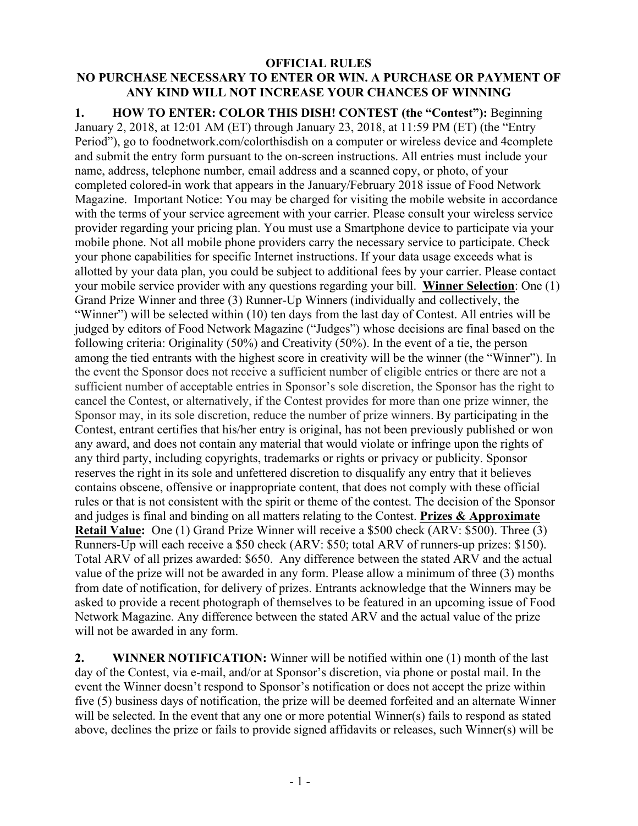## **OFFICIAL RULES NO PURCHASE NECESSARY TO ENTER OR WIN. A PURCHASE OR PAYMENT OF ANY KIND WILL NOT INCREASE YOUR CHANCES OF WINNING**

**1. HOW TO ENTER: COLOR THIS DISH! CONTEST (the "Contest"):** Beginning January 2, 2018, at 12:01 AM (ET) through January 23, 2018, at 11:59 PM (ET) (the "Entry Period"), go to foodnetwork.com/colorthisdish on a computer or wireless device and 4complete and submit the entry form pursuant to the on-screen instructions. All entries must include your name, address, telephone number, email address and a scanned copy, or photo, of your completed colored-in work that appears in the January/February 2018 issue of Food Network Magazine. Important Notice: You may be charged for visiting the mobile website in accordance with the terms of your service agreement with your carrier. Please consult your wireless service provider regarding your pricing plan. You must use a Smartphone device to participate via your mobile phone. Not all mobile phone providers carry the necessary service to participate. Check your phone capabilities for specific Internet instructions. If your data usage exceeds what is allotted by your data plan, you could be subject to additional fees by your carrier. Please contact your mobile service provider with any questions regarding your bill. **Winner Selection**: One (1) Grand Prize Winner and three (3) Runner-Up Winners (individually and collectively, the "Winner") will be selected within (10) ten days from the last day of Contest. All entries will be judged by editors of Food Network Magazine ("Judges") whose decisions are final based on the following criteria: Originality (50%) and Creativity (50%). In the event of a tie, the person among the tied entrants with the highest score in creativity will be the winner (the "Winner"). In the event the Sponsor does not receive a sufficient number of eligible entries or there are not a sufficient number of acceptable entries in Sponsor's sole discretion, the Sponsor has the right to cancel the Contest, or alternatively, if the Contest provides for more than one prize winner, the Sponsor may, in its sole discretion, reduce the number of prize winners. By participating in the Contest, entrant certifies that his/her entry is original, has not been previously published or won any award, and does not contain any material that would violate or infringe upon the rights of any third party, including copyrights, trademarks or rights or privacy or publicity. Sponsor reserves the right in its sole and unfettered discretion to disqualify any entry that it believes contains obscene, offensive or inappropriate content, that does not comply with these official rules or that is not consistent with the spirit or theme of the contest. The decision of the Sponsor and judges is final and binding on all matters relating to the Contest. **Prizes & Approximate Retail Value:** One (1) Grand Prize Winner will receive a \$500 check (ARV: \$500). Three (3) Runners-Up will each receive a \$50 check (ARV: \$50; total ARV of runners-up prizes: \$150). Total ARV of all prizes awarded: \$650. Any difference between the stated ARV and the actual value of the prize will not be awarded in any form. Please allow a minimum of three (3) months from date of notification, for delivery of prizes. Entrants acknowledge that the Winners may be asked to provide a recent photograph of themselves to be featured in an upcoming issue of Food Network Magazine. Any difference between the stated ARV and the actual value of the prize will not be awarded in any form.

**2. WINNER NOTIFICATION:** Winner will be notified within one (1) month of the last day of the Contest, via e-mail, and/or at Sponsor's discretion, via phone or postal mail. In the event the Winner doesn't respond to Sponsor's notification or does not accept the prize within five (5) business days of notification, the prize will be deemed forfeited and an alternate Winner will be selected. In the event that any one or more potential Winner(s) fails to respond as stated above, declines the prize or fails to provide signed affidavits or releases, such Winner(s) will be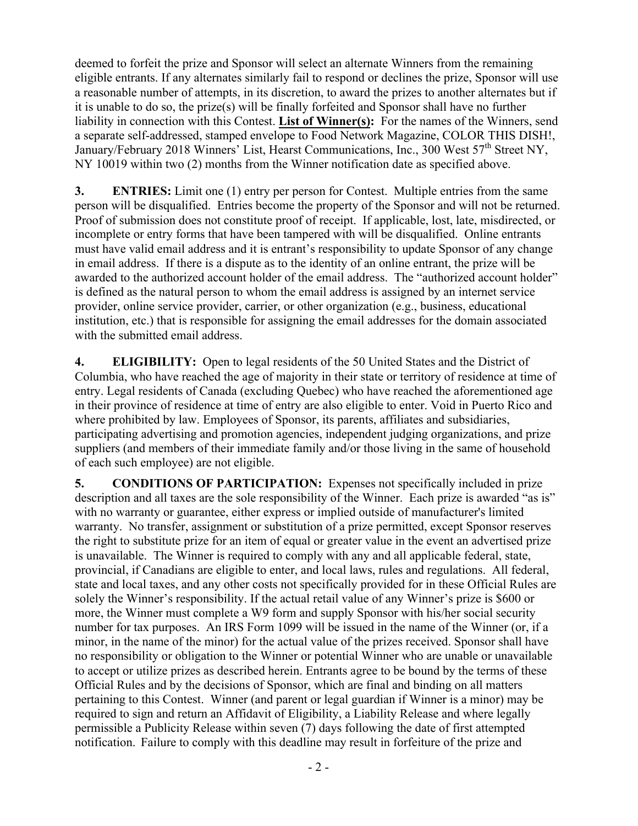deemed to forfeit the prize and Sponsor will select an alternate Winners from the remaining eligible entrants. If any alternates similarly fail to respond or declines the prize, Sponsor will use a reasonable number of attempts, in its discretion, to award the prizes to another alternates but if it is unable to do so, the prize(s) will be finally forfeited and Sponsor shall have no further liability in connection with this Contest. **List of Winner(s):** For the names of the Winners, send a separate self-addressed, stamped envelope to Food Network Magazine, COLOR THIS DISH!, January/February 2018 Winners' List, Hearst Communications, Inc., 300 West 57<sup>th</sup> Street NY, NY 10019 within two (2) months from the Winner notification date as specified above.

**3. ENTRIES:** Limit one (1) entry per person for Contest. Multiple entries from the same person will be disqualified. Entries become the property of the Sponsor and will not be returned. Proof of submission does not constitute proof of receipt. If applicable, lost, late, misdirected, or incomplete or entry forms that have been tampered with will be disqualified. Online entrants must have valid email address and it is entrant's responsibility to update Sponsor of any change in email address. If there is a dispute as to the identity of an online entrant, the prize will be awarded to the authorized account holder of the email address. The "authorized account holder" is defined as the natural person to whom the email address is assigned by an internet service provider, online service provider, carrier, or other organization (e.g., business, educational institution, etc.) that is responsible for assigning the email addresses for the domain associated with the submitted email address.

**4. ELIGIBILITY:** Open to legal residents of the 50 United States and the District of Columbia, who have reached the age of majority in their state or territory of residence at time of entry. Legal residents of Canada (excluding Quebec) who have reached the aforementioned age in their province of residence at time of entry are also eligible to enter. Void in Puerto Rico and where prohibited by law. Employees of Sponsor, its parents, affiliates and subsidiaries, participating advertising and promotion agencies, independent judging organizations, and prize suppliers (and members of their immediate family and/or those living in the same of household of each such employee) are not eligible.

**5. CONDITIONS OF PARTICIPATION:** Expenses not specifically included in prize description and all taxes are the sole responsibility of the Winner. Each prize is awarded "as is" with no warranty or guarantee, either express or implied outside of manufacturer's limited warranty. No transfer, assignment or substitution of a prize permitted, except Sponsor reserves the right to substitute prize for an item of equal or greater value in the event an advertised prize is unavailable. The Winner is required to comply with any and all applicable federal, state, provincial, if Canadians are eligible to enter, and local laws, rules and regulations. All federal, state and local taxes, and any other costs not specifically provided for in these Official Rules are solely the Winner's responsibility. If the actual retail value of any Winner's prize is \$600 or more, the Winner must complete a W9 form and supply Sponsor with his/her social security number for tax purposes. An IRS Form 1099 will be issued in the name of the Winner (or, if a minor, in the name of the minor) for the actual value of the prizes received. Sponsor shall have no responsibility or obligation to the Winner or potential Winner who are unable or unavailable to accept or utilize prizes as described herein. Entrants agree to be bound by the terms of these Official Rules and by the decisions of Sponsor, which are final and binding on all matters pertaining to this Contest. Winner (and parent or legal guardian if Winner is a minor) may be required to sign and return an Affidavit of Eligibility, a Liability Release and where legally permissible a Publicity Release within seven (7) days following the date of first attempted notification. Failure to comply with this deadline may result in forfeiture of the prize and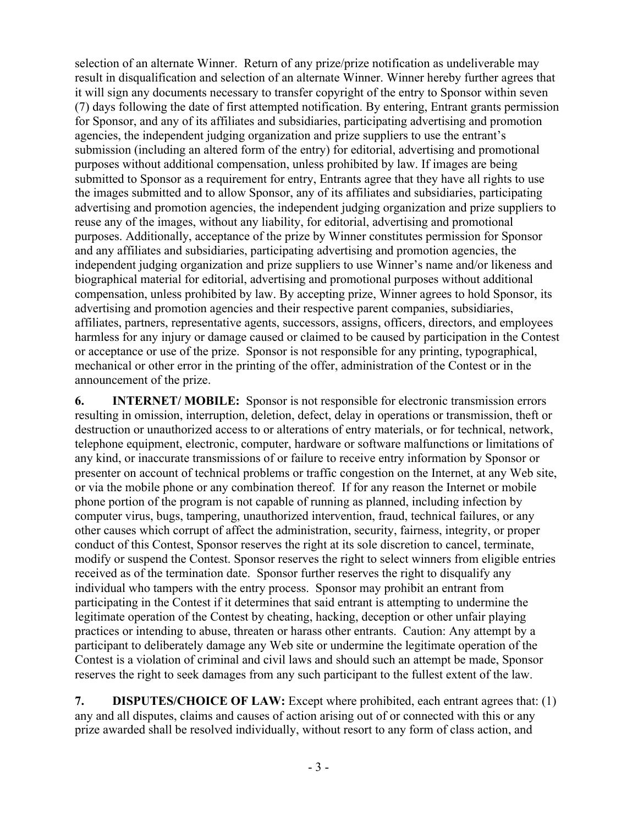selection of an alternate Winner. Return of any prize/prize notification as undeliverable may result in disqualification and selection of an alternate Winner. Winner hereby further agrees that it will sign any documents necessary to transfer copyright of the entry to Sponsor within seven (7) days following the date of first attempted notification. By entering, Entrant grants permission for Sponsor, and any of its affiliates and subsidiaries, participating advertising and promotion agencies, the independent judging organization and prize suppliers to use the entrant's submission (including an altered form of the entry) for editorial, advertising and promotional purposes without additional compensation, unless prohibited by law. If images are being submitted to Sponsor as a requirement for entry, Entrants agree that they have all rights to use the images submitted and to allow Sponsor, any of its affiliates and subsidiaries, participating advertising and promotion agencies, the independent judging organization and prize suppliers to reuse any of the images, without any liability, for editorial, advertising and promotional purposes. Additionally, acceptance of the prize by Winner constitutes permission for Sponsor and any affiliates and subsidiaries, participating advertising and promotion agencies, the independent judging organization and prize suppliers to use Winner's name and/or likeness and biographical material for editorial, advertising and promotional purposes without additional compensation, unless prohibited by law. By accepting prize, Winner agrees to hold Sponsor, its advertising and promotion agencies and their respective parent companies, subsidiaries, affiliates, partners, representative agents, successors, assigns, officers, directors, and employees harmless for any injury or damage caused or claimed to be caused by participation in the Contest or acceptance or use of the prize. Sponsor is not responsible for any printing, typographical, mechanical or other error in the printing of the offer, administration of the Contest or in the announcement of the prize.

**6. INTERNET/ MOBILE:** Sponsor is not responsible for electronic transmission errors resulting in omission, interruption, deletion, defect, delay in operations or transmission, theft or destruction or unauthorized access to or alterations of entry materials, or for technical, network, telephone equipment, electronic, computer, hardware or software malfunctions or limitations of any kind, or inaccurate transmissions of or failure to receive entry information by Sponsor or presenter on account of technical problems or traffic congestion on the Internet, at any Web site, or via the mobile phone or any combination thereof. If for any reason the Internet or mobile phone portion of the program is not capable of running as planned, including infection by computer virus, bugs, tampering, unauthorized intervention, fraud, technical failures, or any other causes which corrupt of affect the administration, security, fairness, integrity, or proper conduct of this Contest, Sponsor reserves the right at its sole discretion to cancel, terminate, modify or suspend the Contest. Sponsor reserves the right to select winners from eligible entries received as of the termination date. Sponsor further reserves the right to disqualify any individual who tampers with the entry process. Sponsor may prohibit an entrant from participating in the Contest if it determines that said entrant is attempting to undermine the legitimate operation of the Contest by cheating, hacking, deception or other unfair playing practices or intending to abuse, threaten or harass other entrants. Caution: Any attempt by a participant to deliberately damage any Web site or undermine the legitimate operation of the Contest is a violation of criminal and civil laws and should such an attempt be made, Sponsor reserves the right to seek damages from any such participant to the fullest extent of the law.

**7. DISPUTES/CHOICE OF LAW:** Except where prohibited, each entrant agrees that: (1) any and all disputes, claims and causes of action arising out of or connected with this or any prize awarded shall be resolved individually, without resort to any form of class action, and